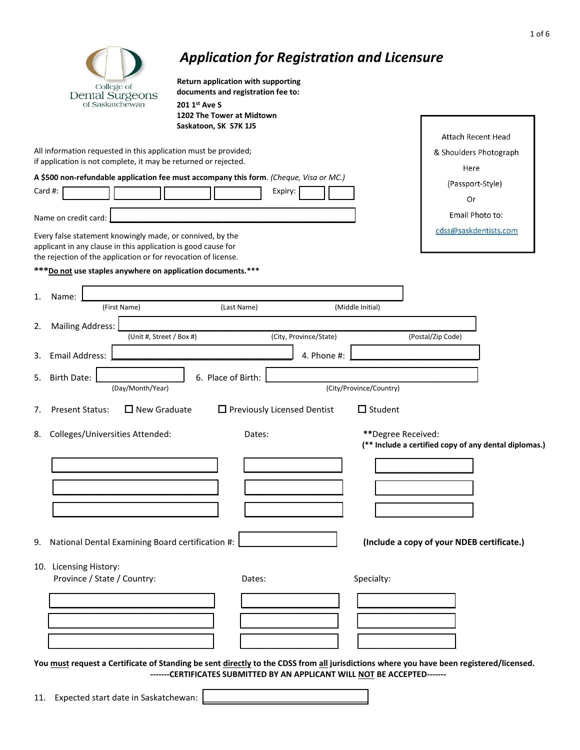| College of<br>Dental Surgeons<br>of Saskatchewan<br>201 1st Ave S<br>Saskatoon, SK S7K 1J5                                                                                                                           | Return application with supporting<br>documents and registration fee to:<br>1202 The Tower at Midtown |                                        | Attach Recent Head                                                          |
|----------------------------------------------------------------------------------------------------------------------------------------------------------------------------------------------------------------------|-------------------------------------------------------------------------------------------------------|----------------------------------------|-----------------------------------------------------------------------------|
| All information requested in this application must be provided;<br>if application is not complete, it may be returned or rejected.                                                                                   |                                                                                                       |                                        | & Shoulders Photograph                                                      |
| A \$500 non-refundable application fee must accompany this form. (Cheque, Visa or MC.)<br>Card #:                                                                                                                    | Expiry:                                                                                               |                                        | Here<br>(Passport-Style)<br>Or                                              |
| Name on credit card:<br>Every false statement knowingly made, or connived, by the<br>applicant in any clause in this application is good cause for<br>the rejection of the application or for revocation of license. |                                                                                                       |                                        | Email Photo to:<br>cdss@saskdentists.com                                    |
| *** Do not use staples anywhere on application documents.***<br>1.<br>Name:<br>(First Name)                                                                                                                          | (Last Name)                                                                                           | (Middle Initial)                       |                                                                             |
| <b>Mailing Address:</b><br>(Unit #, Street / Box #)                                                                                                                                                                  | (City, Province/State)                                                                                |                                        | (Postal/Zip Code)                                                           |
| Email Address:<br>3.<br>5.<br>Birth Date:<br>(Day/Month/Year)                                                                                                                                                        | 6. Place of Birth:                                                                                    | 4. Phone #:<br>(City/Province/Country) |                                                                             |
| <b>Present Status:</b><br>$\Box$ New Graduate<br>7.<br>Colleges/Universities Attended:                                                                                                                               | $\Box$ Previously Licensed Dentist<br>Dates:                                                          | $\Box$ Student                         | **Degree Received:<br>(** Include a certified copy of any dental diplomas.) |
| 9. National Dental Examining Board certification #:                                                                                                                                                                  |                                                                                                       |                                        | (Include a copy of your NDEB certificate.)                                  |
| 10. Licensing History:<br>Province / State / Country:                                                                                                                                                                | Dates:                                                                                                | Specialty:                             |                                                                             |
|                                                                                                                                                                                                                      |                                                                                                       |                                        |                                                                             |

11. Expected start date in Saskatchewan: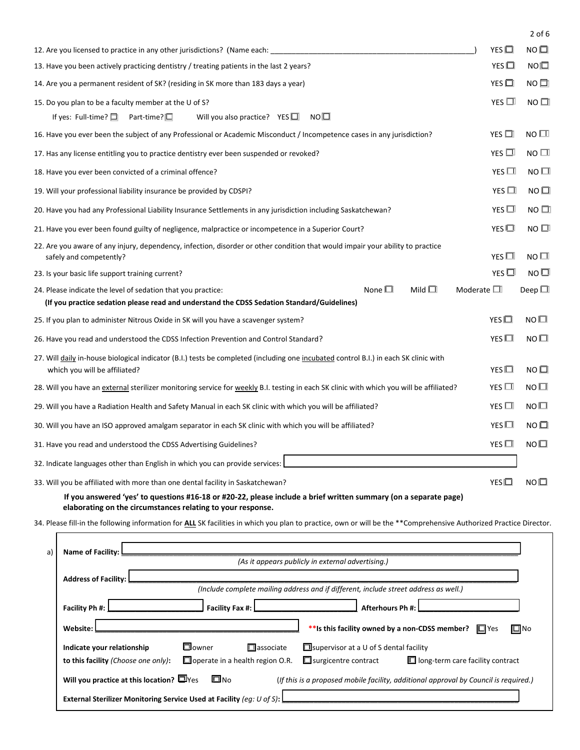|                                                                                                                                                                                 |               | $2$ of 6     |  |  |  |  |  |
|---------------------------------------------------------------------------------------------------------------------------------------------------------------------------------|---------------|--------------|--|--|--|--|--|
| 12. Are you licensed to practice in any other jurisdictions? (Name each:                                                                                                        |               |              |  |  |  |  |  |
| 13. Have you been actively practicing dentistry / treating patients in the last 2 years?                                                                                        |               |              |  |  |  |  |  |
| 14. Are you a permanent resident of SK? (residing in SK more than 183 days a year)                                                                                              |               |              |  |  |  |  |  |
| 15. Do you plan to be a faculty member at the U of S?                                                                                                                           | YES $\square$ | $NO$ $\Box$  |  |  |  |  |  |
| Will you also practice? YES $\Box$<br>NO <sup>1</sup><br>If yes: Full-time? $\Box$<br>Part-time? $\square$                                                                      |               |              |  |  |  |  |  |
| 16. Have you ever been the subject of any Professional or Academic Misconduct / Incompetence cases in any jurisdiction?                                                         | YES $\Box$    | NO $\square$ |  |  |  |  |  |
| 17. Has any license entitling you to practice dentistry ever been suspended or revoked?                                                                                         | YES $\Box$    | $NO$ $\Box$  |  |  |  |  |  |
| 18. Have you ever been convicted of a criminal offence?                                                                                                                         | YES $\Box$    | NO $\square$ |  |  |  |  |  |
| 19. Will your professional liability insurance be provided by CDSPI?                                                                                                            | YES $\Box$    | $NO$ $\Box$  |  |  |  |  |  |
| 20. Have you had any Professional Liability Insurance Settlements in any jurisdiction including Saskatchewan?                                                                   | YES $\Box$    | $NO$ $\Box$  |  |  |  |  |  |
| 21. Have you ever been found guilty of negligence, malpractice or incompetence in a Superior Court?                                                                             |               |              |  |  |  |  |  |
| 22. Are you aware of any injury, dependency, infection, disorder or other condition that would impair your ability to practice<br>safely and competently?                       | YES $\Box$    | $NO$ $\Box$  |  |  |  |  |  |
| 23. Is your basic life support training current?                                                                                                                                | YES $\Box$    | NO $\square$ |  |  |  |  |  |
| None $\Box$<br>Mild $\Box$<br>Moderate $\square$<br>24. Please indicate the level of sedation that you practice:                                                                |               | Deep $\Box$  |  |  |  |  |  |
| (If you practice sedation please read and understand the CDSS Sedation Standard/Guidelines)                                                                                     |               |              |  |  |  |  |  |
| 25. If you plan to administer Nitrous Oxide in SK will you have a scavenger system?                                                                                             | YES $\Box$    | $NO$ $\Box$  |  |  |  |  |  |
| 26. Have you read and understood the CDSS Infection Prevention and Control Standard?                                                                                            |               |              |  |  |  |  |  |
| 27. Will daily in-house biological indicator (B.I.) tests be completed (including one incubated control B.I.) in each SK clinic with<br>which you will be affiliated?           |               |              |  |  |  |  |  |
| 28. Will you have an external sterilizer monitoring service for weekly B.I. testing in each SK clinic with which you will be affiliated?                                        |               |              |  |  |  |  |  |
| 29. Will you have a Radiation Health and Safety Manual in each SK clinic with which you will be affiliated?                                                                     |               |              |  |  |  |  |  |
| 30. Will you have an ISO approved amalgam separator in each SK clinic with which you will be affiliated?                                                                        |               |              |  |  |  |  |  |
| 31. Have you read and understood the CDSS Advertising Guidelines?                                                                                                               | YES $\Box$    | $NO$ $\Box$  |  |  |  |  |  |
| 32. Indicate languages other than English in which you can provide services:                                                                                                    |               |              |  |  |  |  |  |
| 33. Will you be affiliated with more than one dental facility in Saskatchewan?                                                                                                  |               |              |  |  |  |  |  |
| If you answered 'yes' to questions #16-18 or #20-22, please include a brief written summary (on a separate page)<br>elaborating on the circumstances relating to your response. |               |              |  |  |  |  |  |

34. Please fill-in the following information for **ALL** SK facilities in which you plan to practice, own or will be the \*\*Comprehensive Authorized Practice Director.

| a) l | <b>Name of Facility:</b>                                                                                                                                |
|------|---------------------------------------------------------------------------------------------------------------------------------------------------------|
|      | (As it appears publicly in external advertising.)                                                                                                       |
|      | <b>Address of Facility:</b>                                                                                                                             |
|      | (Include complete mailing address and if different, include street address as well.)                                                                    |
|      | Facility Fax #: L<br>Facility Ph #:<br>Afterhours Ph #:                                                                                                 |
|      | $\Box$ No<br>** Is this facility owned by a non-CDSS member?<br>Website:<br>$\Box$ Yes                                                                  |
|      | $\Box$ owner<br>$\Box$ supervisor at a U of S dental facility<br>Indicate your relationship<br>$\Box$ associate                                         |
|      | $\Box$ surgicentre contract<br>$\Box$ operate in a health region O.R.<br>$\Box$ long-term care facility contract<br>to this facility (Choose one only): |
|      | ⊡ No<br>Will you practice at this location? $\square$ Yes<br>(If this is a proposed mobile facility, additional approval by Council is required.)       |
|      | <b>External Sterilizer Monitoring Service Used at Facility (eq: U of S):</b>                                                                            |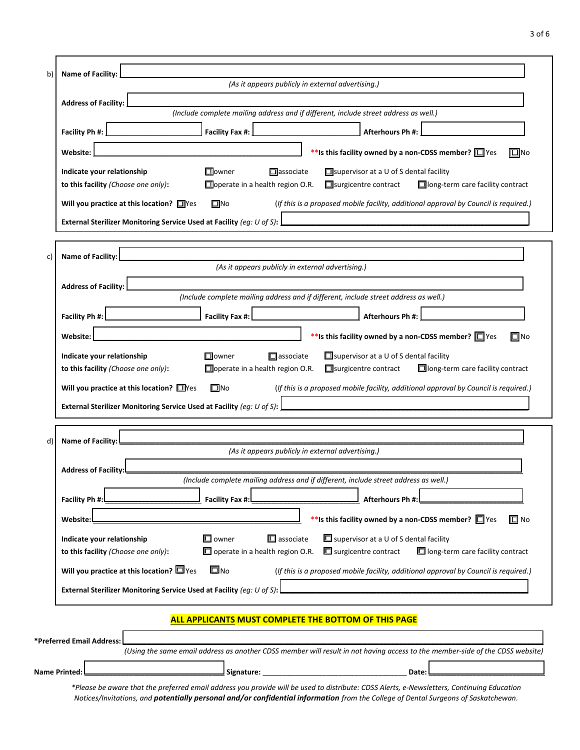| Name of Facility:                                                                                                   |                                                               | (As it appears publicly in external advertising.)                                                                                                                                                                              |
|---------------------------------------------------------------------------------------------------------------------|---------------------------------------------------------------|--------------------------------------------------------------------------------------------------------------------------------------------------------------------------------------------------------------------------------|
| <b>Address of Facility:</b>                                                                                         |                                                               |                                                                                                                                                                                                                                |
|                                                                                                                     |                                                               | (Include complete mailing address and if different, include street address as well.)                                                                                                                                           |
| Facility Ph #:                                                                                                      | Facility Fax #:                                               | Afterhours Ph #:                                                                                                                                                                                                               |
| Website:                                                                                                            |                                                               | ** Is this facility owned by a non-CDSS member? $\square$ Yes<br>$\Box$ No                                                                                                                                                     |
| Indicate your relationship                                                                                          | <b>Howner</b>                                                 | $\Box$ associate<br>$\Box$ supervisor at a U of S dental facility                                                                                                                                                              |
| to this facility (Choose one only):                                                                                 | Operate in a health region O.R.                               | □ surgicentre contract<br>□ long-term care facility contract                                                                                                                                                                   |
| Will you practice at this location? $\Box$ Yes                                                                      | $\square$ No                                                  | (If this is a proposed mobile facility, additional approval by Council is required.)                                                                                                                                           |
| External Sterilizer Monitoring Service Used at Facility (eg: U of S):                                               |                                                               |                                                                                                                                                                                                                                |
| Name of Facility:                                                                                                   |                                                               |                                                                                                                                                                                                                                |
|                                                                                                                     |                                                               | (As it appears publicly in external advertising.)                                                                                                                                                                              |
| <b>Address of Facility:</b>                                                                                         |                                                               |                                                                                                                                                                                                                                |
|                                                                                                                     |                                                               | (Include complete mailing address and if different, include street address as well.)                                                                                                                                           |
| Facility Ph #:                                                                                                      | Facility Fax #:                                               | Afterhours Ph #:                                                                                                                                                                                                               |
| Website:                                                                                                            |                                                               | $\Box$ No<br>** Is this facility owned by a non-CDSS member? $\square$ Yes                                                                                                                                                     |
| Indicate your relationship<br>to this facility (Choose one only):<br>Will you practice at this location? $\Box$ Yes | $\Box$ owner<br>$\Box$ operate in a health region O.R.<br>□No | $\Box$ supervisor at a U of S dental facility<br>$\Box$ associate<br>□ long-term care facility contract<br>$\Box$ surgicentre contract<br>(If this is a proposed mobile facility, additional approval by Council is required.) |
| External Sterilizer Monitoring Service Used at Facility (eg: U of S):                                               |                                                               |                                                                                                                                                                                                                                |
| Name of Facility: L                                                                                                 |                                                               |                                                                                                                                                                                                                                |
|                                                                                                                     |                                                               | (As it appears publicly in external advertising.)                                                                                                                                                                              |
| <b>Address of Facility:</b>                                                                                         |                                                               | (Include complete mailing address and if different, include street address as well.)                                                                                                                                           |
| Facility Ph #:                                                                                                      | Facility Fax #:                                               | Afterhours Ph #:                                                                                                                                                                                                               |
| Website:                                                                                                            |                                                               | ** Is this facility owned by a non-CDSS member? O Yes<br>$\Box$ No                                                                                                                                                             |
| Indicate your relationship                                                                                          | $\square$ owner                                               | $\blacksquare$ associate<br>$\Box$ supervisor at a U of S dental facility                                                                                                                                                      |
| to this facility (Choose one only):                                                                                 | $\Box$ operate in a health region O.R.                        | $\Box$ long-term care facility contract<br>$\blacksquare$ surgicentre contract                                                                                                                                                 |
| Will you practice at this location? $\square$ Yes                                                                   | <b>ロ</b> no                                                   | (If this is a proposed mobile facility, additional approval by Council is required.)                                                                                                                                           |
| External Sterilizer Monitoring Service Used at Facility (eg: U of S):                                               |                                                               |                                                                                                                                                                                                                                |
|                                                                                                                     |                                                               |                                                                                                                                                                                                                                |

| *Preferred Email Address: L |                                                                                                                               |  |
|-----------------------------|-------------------------------------------------------------------------------------------------------------------------------|--|
|                             | (Using the same email address as another CDSS member will result in not having access to the member-side of the CDSS website) |  |
| <b>Name Printed:</b>        | Signature:<br>Date:                                                                                                           |  |

*\*Please be aware that the preferred email address you provide will be used to distribute: CDSS Alerts, e-Newsletters, Continuing Education Notices/Invitations, and potentially personal and/or confidential information from the College of Dental Surgeons of Saskatchewan.*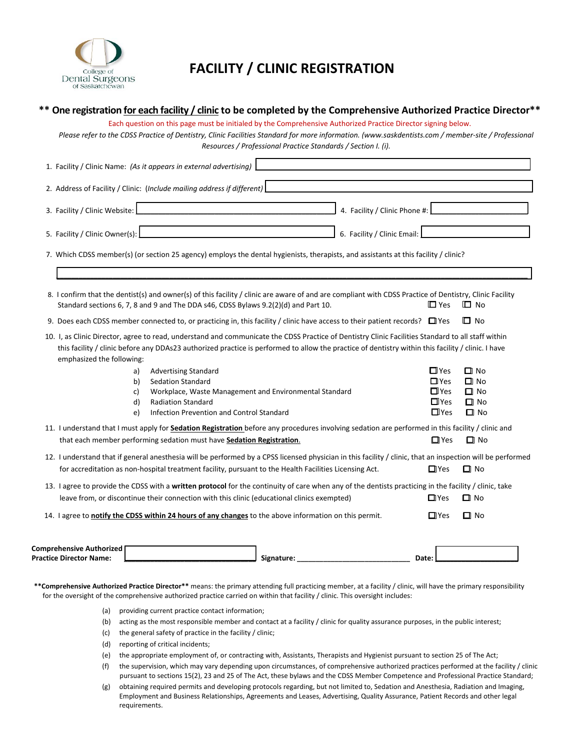

## **FACILITY / CLINIC REGISTRATION**

## **\*\* One registration for each facility / clinic to be completed by the Comprehensive Authorized Practice Director\*\***

Each question on this page must be initialed by the Comprehensive Authorized Practice Director signing below.

*Please refer to the CDSS Practice of Dentistry, Clinic Facilities Standard for more information. [\(www.saskdentists.com /](http://www.saskdentists.com/) member‐site / Professional Resources / Professional Practice Standards / Section I. (i).* 

| 1. Facility / Clinic Name: (As it appears in external advertising)                                                                                                                                                                             |                                                                                                                                                                                                                                                                                                          |                        |  |  |  |  |  |  |  |
|------------------------------------------------------------------------------------------------------------------------------------------------------------------------------------------------------------------------------------------------|----------------------------------------------------------------------------------------------------------------------------------------------------------------------------------------------------------------------------------------------------------------------------------------------------------|------------------------|--|--|--|--|--|--|--|
| 2. Address of Facility / Clinic: (Include mailing address if different)                                                                                                                                                                        |                                                                                                                                                                                                                                                                                                          |                        |  |  |  |  |  |  |  |
| 3. Facility / Clinic Website:<br>4. Facility / Clinic Phone #:                                                                                                                                                                                 |                                                                                                                                                                                                                                                                                                          |                        |  |  |  |  |  |  |  |
| 5. Facility / Clinic Owner(s):<br>6. Facility / Clinic Email:<br>the control of the control of the control of the control of the control of                                                                                                    |                                                                                                                                                                                                                                                                                                          |                        |  |  |  |  |  |  |  |
| 7. Which CDSS member(s) (or section 25 agency) employs the dental hygienists, therapists, and assistants at this facility / clinic?                                                                                                            |                                                                                                                                                                                                                                                                                                          |                        |  |  |  |  |  |  |  |
|                                                                                                                                                                                                                                                |                                                                                                                                                                                                                                                                                                          |                        |  |  |  |  |  |  |  |
| 8. I confirm that the dentist(s) and owner(s) of this facility / clinic are aware of and are compliant with CDSS Practice of Dentistry, Clinic Facility<br>Standard sections 6, 7, 8 and 9 and The DDA s46, CDSS Bylaws 9.2(2)(d) and Part 10. | $\Box$ Yes                                                                                                                                                                                                                                                                                               | $\Box$ No              |  |  |  |  |  |  |  |
| 9. Does each CDSS member connected to, or practicing in, this facility / clinic have access to their patient records? $\Box$ Yes                                                                                                               |                                                                                                                                                                                                                                                                                                          | <b>□</b> No            |  |  |  |  |  |  |  |
| emphasized the following:                                                                                                                                                                                                                      | 10. I, as Clinic Director, agree to read, understand and communicate the CDSS Practice of Dentistry Clinic Facilities Standard to all staff within<br>this facility / clinic before any DDAs23 authorized practice is performed to allow the practice of dentistry within this facility / clinic. I have |                        |  |  |  |  |  |  |  |
| <b>Advertising Standard</b><br>a)                                                                                                                                                                                                              | $\Box$ Yes                                                                                                                                                                                                                                                                                               | $\square$ No           |  |  |  |  |  |  |  |
| <b>Sedation Standard</b><br>b)<br>Workplace, Waste Management and Environmental Standard<br>c)                                                                                                                                                 | $\Box$ Yes<br>$\Box$ Yes                                                                                                                                                                                                                                                                                 | $\Box$ No<br>$\Box$ No |  |  |  |  |  |  |  |
| <b>Radiation Standard</b><br>d)                                                                                                                                                                                                                | $\Box$ Yes                                                                                                                                                                                                                                                                                               | $\Box$ No              |  |  |  |  |  |  |  |
| Infection Prevention and Control Standard<br>e)                                                                                                                                                                                                | $\Box$ Yes                                                                                                                                                                                                                                                                                               | $\Box$ No              |  |  |  |  |  |  |  |
| 11. I understand that I must apply for <b>Sedation Registration</b> before any procedures involving sedation are performed in this facility / clinic and                                                                                       |                                                                                                                                                                                                                                                                                                          |                        |  |  |  |  |  |  |  |
| that each member performing sedation must have Sedation Registration.                                                                                                                                                                          | $\Box$ Yes                                                                                                                                                                                                                                                                                               | $\Box$ No              |  |  |  |  |  |  |  |
| 12. I understand that if general anesthesia will be performed by a CPSS licensed physician in this facility / clinic, that an inspection will be performed                                                                                     |                                                                                                                                                                                                                                                                                                          |                        |  |  |  |  |  |  |  |
| for accreditation as non-hospital treatment facility, pursuant to the Health Facilities Licensing Act.                                                                                                                                         | $\Box$ Yes                                                                                                                                                                                                                                                                                               | $\Box$ No              |  |  |  |  |  |  |  |
| 13. I agree to provide the CDSS with a written protocol for the continuity of care when any of the dentists practicing in the facility / clinic, take                                                                                          |                                                                                                                                                                                                                                                                                                          |                        |  |  |  |  |  |  |  |
| leave from, or discontinue their connection with this clinic (educational clinics exempted)                                                                                                                                                    | $\Box$ Yes                                                                                                                                                                                                                                                                                               | $\square$ No           |  |  |  |  |  |  |  |
| 14. I agree to notify the CDSS within 24 hours of any changes to the above information on this permit.                                                                                                                                         | $\Box$ Yes                                                                                                                                                                                                                                                                                               | $\Box$ No              |  |  |  |  |  |  |  |
| <b>Comprehensive Authorized</b><br><b>Practice Director Name:</b><br>Signature:<br>Date:                                                                                                                                                       |                                                                                                                                                                                                                                                                                                          |                        |  |  |  |  |  |  |  |

**\*\*Comprehensive Authorized Practice Director\*\*** means: the primary attending full practicing member, at a facility / clinic, will have the primary responsibility for the oversight of the comprehensive authorized practice carried on within that facility / clinic. This oversight includes:

- (a) providing current practice contact information;
- (b) acting as the most responsible member and contact at a facility / clinic for quality assurance purposes, in the public interest;
- (c) the general safety of practice in the facility / clinic;
- (d) reporting of critical incidents;
- (e) the appropriate employment of, or contracting with, Assistants, Therapists and Hygienist pursuant to section 25 of The Act;
- (f) the supervision, which may vary depending upon circumstances, of comprehensive authorized practices performed at the facility / clinic pursuant to sections 15(2), 23 and 25 of The Act, these bylaws and the CDSS Member Competence and Professional Practice Standard;
- (g) obtaining required permits and developing protocols regarding, but not limited to, Sedation and Anesthesia, Radiation and Imaging, Employment and Business Relationships, Agreements and Leases, Advertising, Quality Assurance, Patient Records and other legal requirements.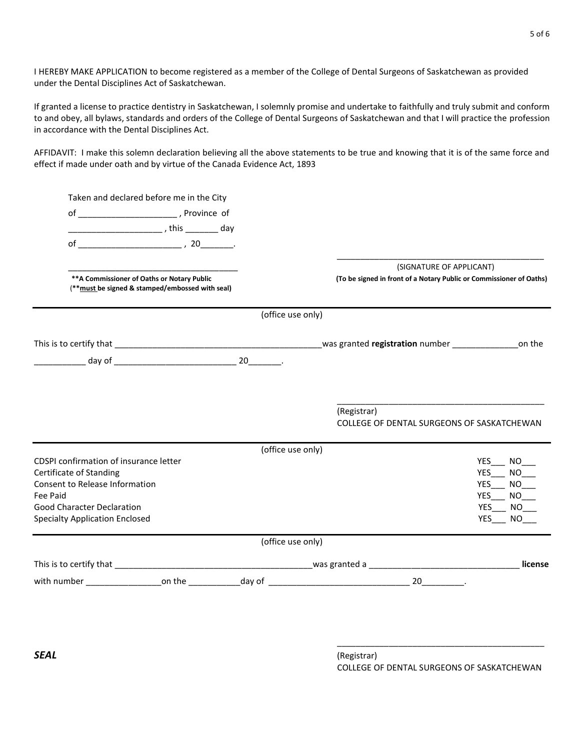I HEREBY MAKE APPLICATION to become registered as a member of the College of Dental Surgeons of Saskatchewan as provided under the Dental Disciplines Act of Saskatchewan.

If granted a license to practice dentistry in Saskatchewan, I solemnly promise and undertake to faithfully and truly submit and conform to and obey, all bylaws, standards and orders of the College of Dental Surgeons of Saskatchewan and that I will practice the profession in accordance with the Dental Disciplines Act.

AFFIDAVIT: I make this solemn declaration believing all the above statements to be true and knowing that it is of the same force and effect if made under oath and by virtue of the Canada Evidence Act, 1893

| Taken and declared before me in the City                  |  |                   |             |                          |                                                                     |
|-----------------------------------------------------------|--|-------------------|-------------|--------------------------|---------------------------------------------------------------------|
|                                                           |  |                   |             |                          |                                                                     |
|                                                           |  |                   |             |                          |                                                                     |
|                                                           |  |                   |             |                          |                                                                     |
|                                                           |  |                   |             |                          |                                                                     |
| ** A Commissioner of Oaths or Notary Public               |  |                   |             | (SIGNATURE OF APPLICANT) | (To be signed in front of a Notary Public or Commissioner of Oaths) |
| (** must be signed & stamped/embossed with seal)          |  |                   |             |                          |                                                                     |
|                                                           |  | (office use only) |             |                          |                                                                     |
|                                                           |  |                   |             |                          |                                                                     |
|                                                           |  |                   |             |                          |                                                                     |
|                                                           |  |                   |             |                          |                                                                     |
|                                                           |  |                   |             |                          |                                                                     |
|                                                           |  |                   | (Registrar) |                          | COLLEGE OF DENTAL SURGEONS OF SASKATCHEWAN                          |
|                                                           |  | (office use only) |             |                          |                                                                     |
| CDSPI confirmation of insurance letter                    |  |                   |             |                          | YES NO                                                              |
| Certificate of Standing<br>Consent to Release Information |  |                   |             |                          | <b>YES</b><br>NO <sub>1</sub><br>YES<br>NO L                        |
| Fee Paid                                                  |  |                   |             |                          | <b>YES</b><br>NO L                                                  |
| Good Character Declaration                                |  |                   |             |                          | YES<br>NO.                                                          |
| <b>Specialty Application Enclosed</b>                     |  |                   |             |                          | YES NO                                                              |
|                                                           |  | (office use only) |             |                          |                                                                     |
|                                                           |  |                   |             |                          | license                                                             |
|                                                           |  |                   |             |                          |                                                                     |
|                                                           |  |                   |             |                          |                                                                     |

\_\_\_\_\_\_\_\_\_\_\_\_\_\_\_\_\_\_\_\_\_\_\_\_\_\_\_\_\_\_\_\_\_\_\_\_\_\_\_\_\_\_\_\_